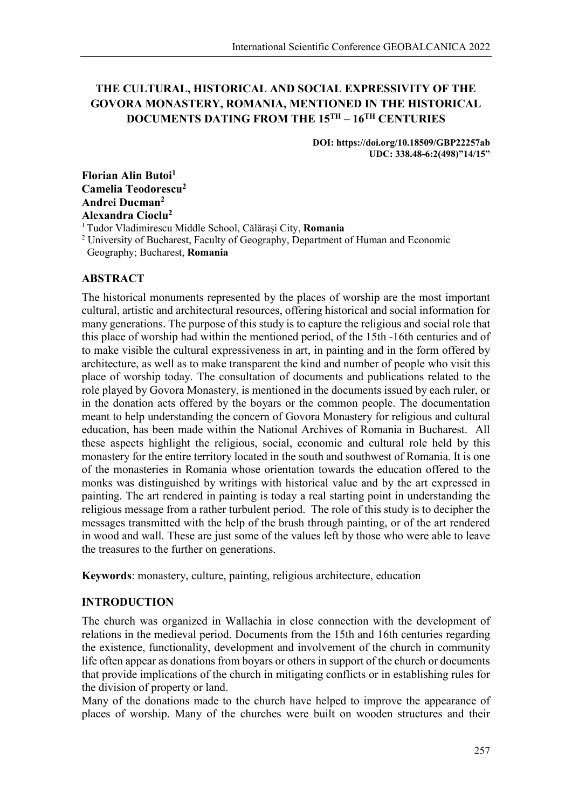# **THE CULTURAL, HISTORICAL AND SOCIAL EXPRESSIVITY OF THE GOVORA MONASTERY, ROMANIA, MENTIONED IN THE HISTORICAL DOCUMENTS DATING FROM THE 15TH – 16TH CENTURIES**

**DOI: https://doi.org/10.18509/GBP22257ab UDC: 338.48-6:2(498)"14/15"**

**Florian Alin Butoi1 Camelia Teodorescu2 Andrei Ducman2 Alexandra Cioclu2**

1 Tudor Vladimirescu Middle School, Călărași City, **Romania**

<sup>2</sup> University of Bucharest, Faculty of Geography, Department of Human and Economic Geography; Bucharest, **Romania**

### **ABSTRACT**

The historical monuments represented by the places of worship are the most important cultural, artistic and architectural resources, offering historical and social information for many generations. The purpose of this study is to capture the religious and social role that this place of worship had within the mentioned period, of the 15th -16th centuries and of to make visible the cultural expressiveness in art, in painting and in the form offered by architecture, as well as to make transparent the kind and number of people who visit this place of worship today. The consultation of documents and publications related to the role played by Govora Monastery, is mentioned in the documents issued by each ruler, or in the donation acts offered by the boyars or the common people. The documentation meant to help understanding the concern of Govora Monastery for religious and cultural education, has been made within the National Archives of Romania in Bucharest. All these aspects highlight the religious, social, economic and cultural role held by this monastery for the entire territory located in the south and southwest of Romania. It is one of the monasteries in Romania whose orientation towards the education offered to the monks was distinguished by writings with historical value and by the art expressed in painting. The art rendered in painting is today a real starting point in understanding the religious message from a rather turbulent period. The role of this study is to decipher the messages transmitted with the help of the brush through painting, or of the art rendered in wood and wall. These are just some of the values left by those who were able to leave the treasures to the further on generations.

**Keywords**: monastery, culture, painting, religious architecture, education

### **INTRODUCTION**

The church was organized in Wallachia in close connection with the development of relations in the medieval period. Documents from the 15th and 16th centuries regarding the existence, functionality, development and involvement of the church in community life often appear as donations from boyars or others in support of the church or documents that provide implications of the church in mitigating conflicts or in establishing rules for the division of property or land.

Many of the donations made to the church have helped to improve the appearance of places of worship. Many of the churches were built on wooden structures and their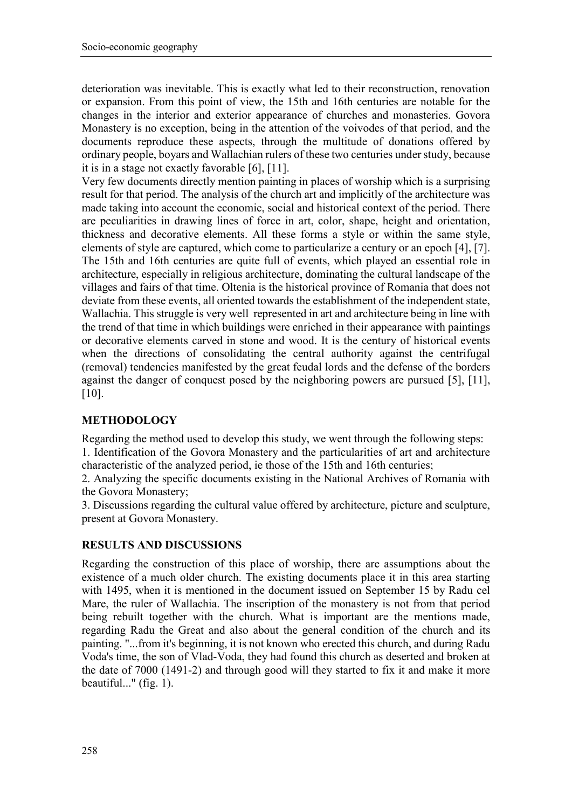deterioration was inevitable. This is exactly what led to their reconstruction, renovation or expansion. From this point of view, the 15th and 16th centuries are notable for the changes in the interior and exterior appearance of churches and monasteries. Govora Monastery is no exception, being in the attention of the voivodes of that period, and the documents reproduce these aspects, through the multitude of donations offered by ordinary people, boyars and Wallachian rulers of these two centuries under study, because it is in a stage not exactly favorable [6], [11].

Very few documents directly mention painting in places of worship which is a surprising result for that period. The analysis of the church art and implicitly of the architecture was made taking into account the economic, social and historical context of the period. There are peculiarities in drawing lines of force in art, color, shape, height and orientation, thickness and decorative elements. All these forms a style or within the same style, elements of style are captured, which come to particularize a century or an epoch [4], [7]. The 15th and 16th centuries are quite full of events, which played an essential role in architecture, especially in religious architecture, dominating the cultural landscape of the villages and fairs of that time. Oltenia is the historical province of Romania that does not deviate from these events, all oriented towards the establishment of the independent state, Wallachia. This struggle is very well represented in art and architecture being in line with the trend of that time in which buildings were enriched in their appearance with paintings or decorative elements carved in stone and wood. It is the century of historical events when the directions of consolidating the central authority against the centrifugal (removal) tendencies manifested by the great feudal lords and the defense of the borders against the danger of conquest posed by the neighboring powers are pursued [5], [11], [10].

## **METHODOLOGY**

Regarding the method used to develop this study, we went through the following steps:

1. Identification of the Govora Monastery and the particularities of art and architecture characteristic of the analyzed period, ie those of the 15th and 16th centuries;

2. Analyzing the specific documents existing in the National Archives of Romania with the Govora Monastery;

3. Discussions regarding the cultural value offered by architecture, picture and sculpture, present at Govora Monastery.

## **RESULTS AND DISCUSSIONS**

Regarding the construction of this place of worship, there are assumptions about the existence of a much older church. The existing documents place it in this area starting with 1495, when it is mentioned in the document issued on September 15 by Radu cel Mare, the ruler of Wallachia. The inscription of the monastery is not from that period being rebuilt together with the church. What is important are the mentions made, regarding Radu the Great and also about the general condition of the church and its painting. "...from it's beginning, it is not known who erected this church, and during Radu Voda's time, the son of Vlad-Voda, they had found this church as deserted and broken at the date of 7000 (1491-2) and through good will they started to fix it and make it more beautiful..." (fig. 1).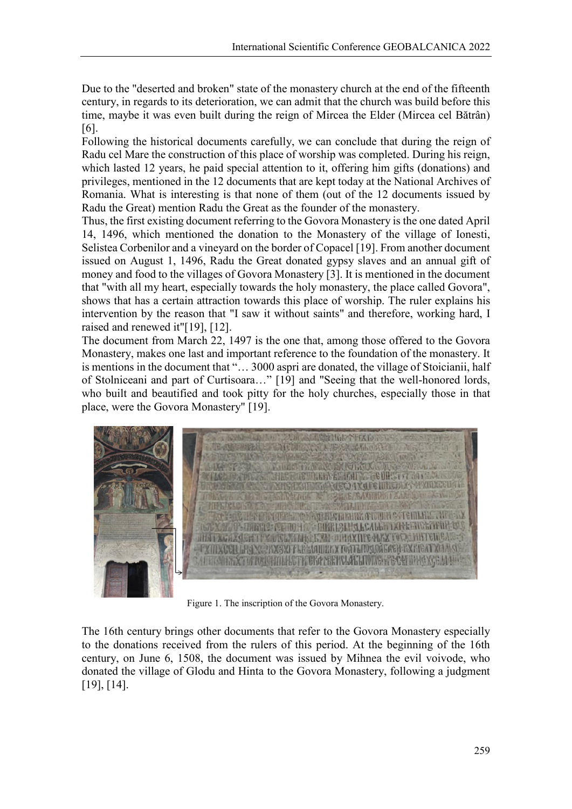Due to the "deserted and broken" state of the monastery church at the end of the fifteenth century, in regards to its deterioration, we can admit that the church was build before this time, maybe it was even built during the reign of Mircea the Elder (Mircea cel Bătrân) [6].

Following the historical documents carefully, we can conclude that during the reign of Radu cel Mare the construction of this place of worship was completed. During his reign, which lasted 12 years, he paid special attention to it, offering him gifts (donations) and privileges, mentioned in the 12 documents that are kept today at the National Archives of Romania. What is interesting is that none of them (out of the 12 documents issued by Radu the Great) mention Radu the Great as the founder of the monastery.

Thus, the first existing document referring to the Govora Monastery is the one dated April 14, 1496, which mentioned the donation to the Monastery of the village of Ionesti, Selistea Corbenilor and a vineyard on the border of Copacel [19]. From another document issued on August 1, 1496, Radu the Great donated gypsy slaves and an annual gift of money and food to the villages of Govora Monastery [3]. It is mentioned in the document that "with all my heart, especially towards the holy monastery, the place called Govora", shows that has a certain attraction towards this place of worship. The ruler explains his intervention by the reason that "I saw it without saints" and therefore, working hard, I raised and renewed it"[19], [12].

The document from March 22, 1497 is the one that, among those offered to the Govora Monastery, makes one last and important reference to the foundation of the monastery. It is mentions in the document that "… 3000 aspri are donated, the village of Stoicianii, half of Stolniceani and part of Curtisoara…" [19] and "Seeing that the well-honored lords, who built and beautified and took pitty for the holy churches, especially those in that place, were the Govora Monastery" [19].



Figure 1. The inscription of the Govora Monastery.

The 16th century brings other documents that refer to the Govora Monastery especially to the donations received from the rulers of this period. At the beginning of the 16th century, on June 6, 1508, the document was issued by Mihnea the evil voivode, who donated the village of Glodu and Hinta to the Govora Monastery, following a judgment [19], [14].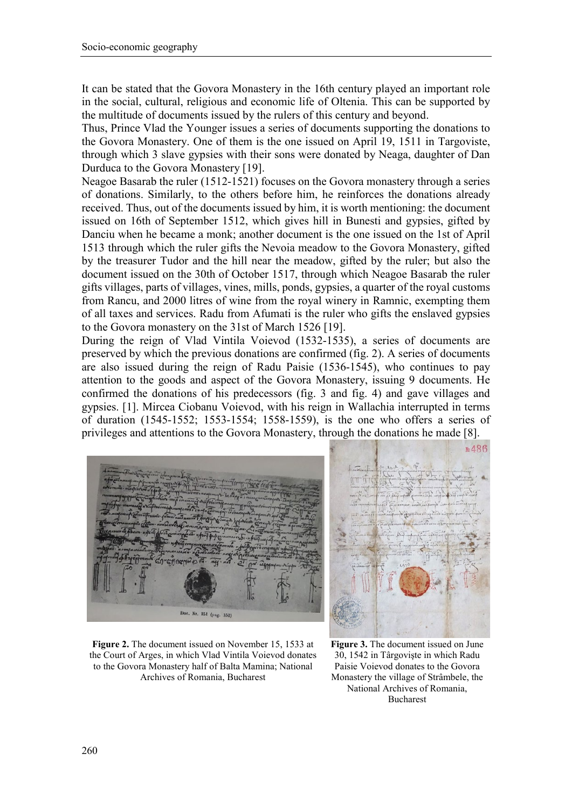It can be stated that the Govora Monastery in the 16th century played an important role in the social, cultural, religious and economic life of Oltenia. This can be supported by the multitude of documents issued by the rulers of this century and beyond.

Thus, Prince Vlad the Younger issues a series of documents supporting the donations to the Govora Monastery. One of them is the one issued on April 19, 1511 in Targoviste, through which 3 slave gypsies with their sons were donated by Neaga, daughter of Dan Durduca to the Govora Monastery [19].

Neagoe Basarab the ruler (1512-1521) focuses on the Govora monastery through a series of donations. Similarly, to the others before him, he reinforces the donations already received. Thus, out of the documents issued by him, it is worth mentioning: the document issued on 16th of September 1512, which gives hill in Bunesti and gypsies, gifted by Danciu when he became a monk; another document is the one issued on the 1st of April 1513 through which the ruler gifts the Nevoia meadow to the Govora Monastery, gifted by the treasurer Tudor and the hill near the meadow, gifted by the ruler; but also the document issued on the 30th of October 1517, through which Neagoe Basarab the ruler gifts villages, parts of villages, vines, mills, ponds, gypsies, a quarter of the royal customs from Rancu, and 2000 litres of wine from the royal winery in Ramnic, exempting them of all taxes and services. Radu from Afumati is the ruler who gifts the enslaved gypsies to the Govora monastery on the 31st of March 1526 [19].

During the reign of Vlad Vintila Voievod (1532-1535), a series of documents are preserved by which the previous donations are confirmed (fig. 2). A series of documents are also issued during the reign of Radu Paisie (1536-1545), who continues to pay attention to the goods and aspect of the Govora Monastery, issuing 9 documents. He confirmed the donations of his predecessors (fig. 3 and fig. 4) and gave villages and gypsies. [1]. Mircea Ciobanu Voievod, with his reign in Wallachia interrupted in terms of duration (1545-1552; 1553-1554; 1558-1559), is the one who offers a series of privileges and attentions to the Govora Monastery, through the donations he made [8].







**Figure 3.** The document issued on June 30, 1542 in Târgovişte in which Radu Paisie Voievod donates to the Govora Monastery the village of Strâmbele, the National Archives of Romania, Bucharest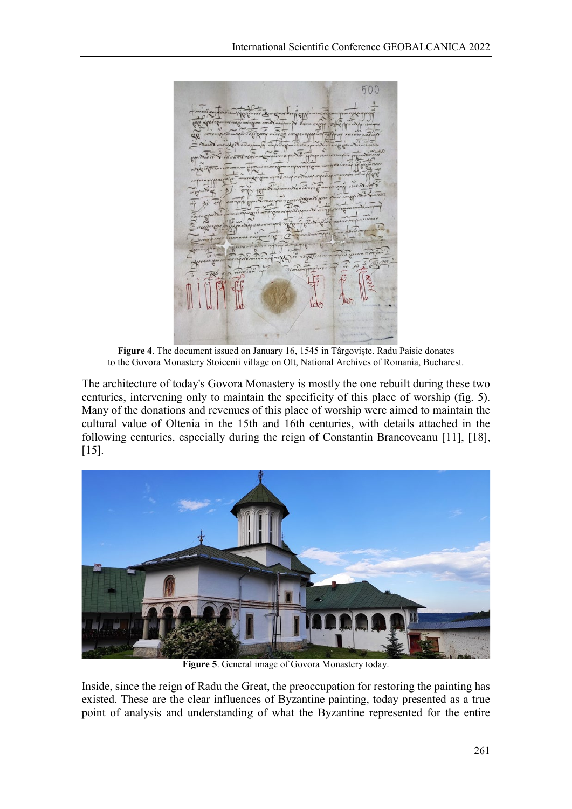

**Figure 4**. The document issued on January 16, 1545 in Târgoviște. Radu Paisie donates to the Govora Monastery Stoicenii village on Olt, National Archives of Romania, Bucharest.

The architecture of today's Govora Monastery is mostly the one rebuilt during these two centuries, intervening only to maintain the specificity of this place of worship (fig. 5). Many of the donations and revenues of this place of worship were aimed to maintain the cultural value of Oltenia in the 15th and 16th centuries, with details attached in the following centuries, especially during the reign of Constantin Brancoveanu [11], [18], [15].



**Figure 5**. General image of Govora Monastery today.

Inside, since the reign of Radu the Great, the preoccupation for restoring the painting has existed. These are the clear influences of Byzantine painting, today presented as a true point of analysis and understanding of what the Byzantine represented for the entire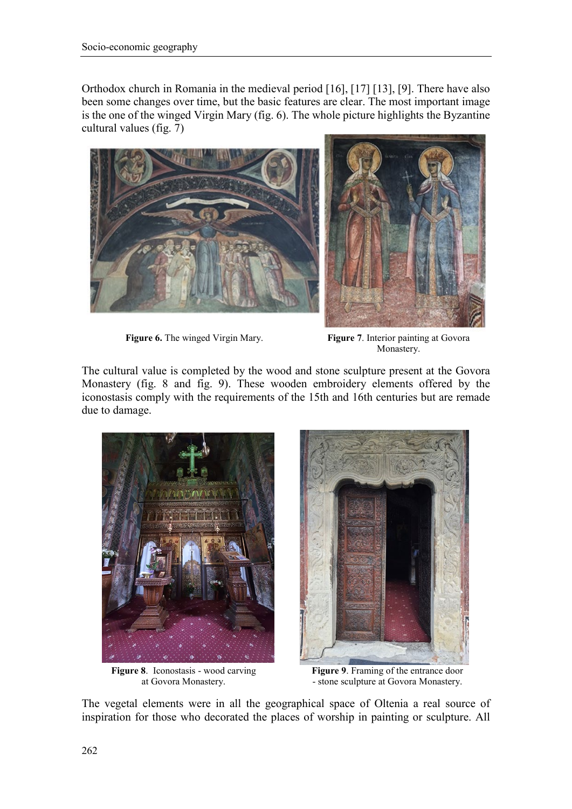Orthodox church in Romania in the medieval period [16], [17] [13], [9]. There have also been some changes over time, but the basic features are clear. The most important image is the one of the winged Virgin Mary (fig. 6). The whole picture highlights the Byzantine cultural values (fig. 7)



**Figure 6.** The winged Virgin Mary. **Figure 7**. Interior painting at Govora Monastery.

The cultural value is completed by the wood and stone sculpture present at the Govora Monastery (fig. 8 and fig. 9). These wooden embroidery elements offered by the iconostasis comply with the requirements of the 15th and 16th centuries but are remade due to damage.



**Figure 8**. Iconostasis - wood carving at Govora Monastery.



**Figure 9**. Framing of the entrance door - stone sculpture at Govora Monastery.

The vegetal elements were in all the geographical space of Oltenia a real source of inspiration for those who decorated the places of worship in painting or sculpture. All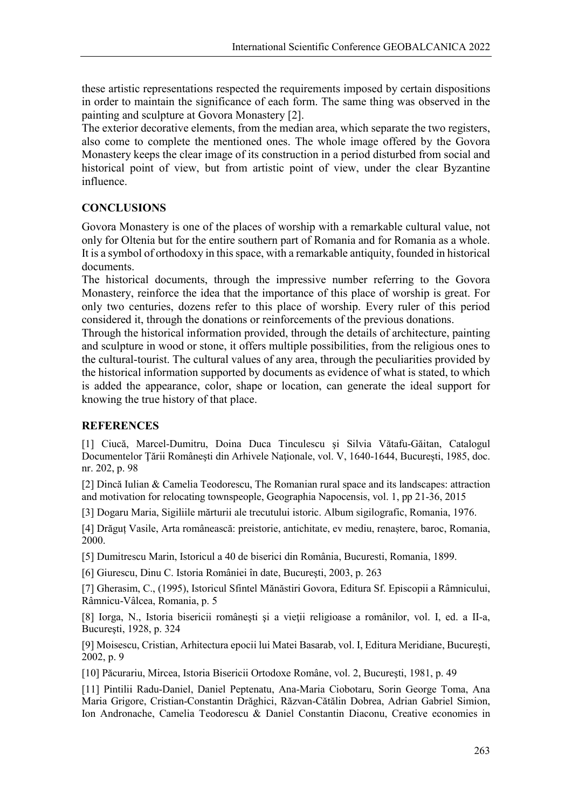these artistic representations respected the requirements imposed by certain dispositions in order to maintain the significance of each form. The same thing was observed in the painting and sculpture at Govora Monastery [2].

The exterior decorative elements, from the median area, which separate the two registers, also come to complete the mentioned ones. The whole image offered by the Govora Monastery keeps the clear image of its construction in a period disturbed from social and historical point of view, but from artistic point of view, under the clear Byzantine influence.

## **CONCLUSIONS**

Govora Monastery is one of the places of worship with a remarkable cultural value, not only for Oltenia but for the entire southern part of Romania and for Romania as a whole. It is a symbol of orthodoxy in this space, with a remarkable antiquity, founded in historical documents.

The historical documents, through the impressive number referring to the Govora Monastery, reinforce the idea that the importance of this place of worship is great. For only two centuries, dozens refer to this place of worship. Every ruler of this period considered it, through the donations or reinforcements of the previous donations.

Through the historical information provided, through the details of architecture, painting and sculpture in wood or stone, it offers multiple possibilities, from the religious ones to the cultural-tourist. The cultural values of any area, through the peculiarities provided by the historical information supported by documents as evidence of what is stated, to which is added the appearance, color, shape or location, can generate the ideal support for knowing the true history of that place.

## **REFERENCES**

[1] Ciucă, Marcel-Dumitru, Doina Duca Tinculescu şi Silvia Vătafu-Găitan, Catalogul Documentelor Ţării Româneşti din Arhivele Naţionale, vol. V, 1640-1644, Bucureşti, 1985, doc. nr. 202, p. 98

[2] Dincă Iulian & Camelia Teodorescu, The Romanian rural space and its landscapes: attraction and motivation for relocating townspeople, Geographia Napocensis, vol. 1, pp 21-36, 2015

[3] Dogaru Maria, Sigiliile mărturii ale trecutului istoric. Album sigilografic, Romania, 1976.

[4] Drăguț Vasile, Arta românească: preistorie, antichitate, ev mediu, renaștere, baroc, Romania, 2000.

[5] Dumitrescu Marin, Istoricul a 40 de biserici din România, Bucuresti, Romania, 1899.

[6] Giurescu, Dinu C. Istoria României în date, Bucureşti, 2003, p. 263

[7] Gherasim, C., (1995), Istoricul Sfintel Mănăstiri Govora, Editura Sf. Episcopii a Râmnicului, Râmnicu-Vâlcea, Romania, p. 5

[8] Iorga, N., Istoria bisericii româneşti şi a vieţii religioase a românilor, vol. I, ed. a II-a, Bucureşti, 1928, p. 324

[9] Moisescu, Cristian, Arhitectura epocii lui Matei Basarab, vol. I, Editura Meridiane, Bucureşti, 2002, p. 9

[10] Păcurariu, Mircea, Istoria Bisericii Ortodoxe Române, vol. 2, Bucureşti, 1981, p. 49

[11] Pintilii Radu-Daniel, Daniel Peptenatu, Ana-Maria Ciobotaru, Sorin George Toma, Ana Maria Grigore, Cristian-Constantin Drăghici, Răzvan-Cătălin Dobrea, Adrian Gabriel Simion, Ion Andronache, Camelia Teodorescu & Daniel Constantin Diaconu, Creative economies in